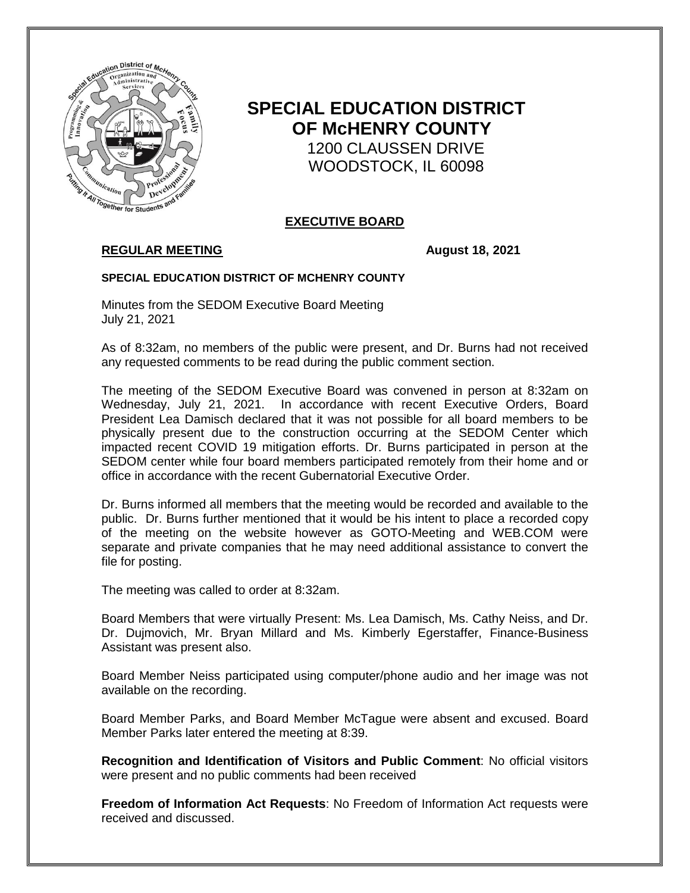

# **SPECIAL EDUCATION DISTRICT OF McHENRY COUNTY** 1200 CLAUSSEN DRIVE WOODSTOCK, IL 60098

# **EXECUTIVE BOARD**

# **REGULAR MEETING August 18, 2021**

#### **SPECIAL EDUCATION DISTRICT OF MCHENRY COUNTY**

Minutes from the SEDOM Executive Board Meeting July 21, 2021

As of 8:32am, no members of the public were present, and Dr. Burns had not received any requested comments to be read during the public comment section.

The meeting of the SEDOM Executive Board was convened in person at 8:32am on Wednesday, July 21, 2021. In accordance with recent Executive Orders, Board President Lea Damisch declared that it was not possible for all board members to be physically present due to the construction occurring at the SEDOM Center which impacted recent COVID 19 mitigation efforts. Dr. Burns participated in person at the SEDOM center while four board members participated remotely from their home and or office in accordance with the recent Gubernatorial Executive Order.

Dr. Burns informed all members that the meeting would be recorded and available to the public. Dr. Burns further mentioned that it would be his intent to place a recorded copy of the meeting on the website however as GOTO-Meeting and WEB.COM were separate and private companies that he may need additional assistance to convert the file for posting.

The meeting was called to order at 8:32am.

Board Members that were virtually Present: Ms. Lea Damisch, Ms. Cathy Neiss, and Dr. Dr. Dujmovich, Mr. Bryan Millard and Ms. Kimberly Egerstaffer, Finance-Business Assistant was present also.

Board Member Neiss participated using computer/phone audio and her image was not available on the recording.

Board Member Parks, and Board Member McTague were absent and excused. Board Member Parks later entered the meeting at 8:39.

**Recognition and Identification of Visitors and Public Comment**: No official visitors were present and no public comments had been received

**Freedom of Information Act Requests**: No Freedom of Information Act requests were received and discussed.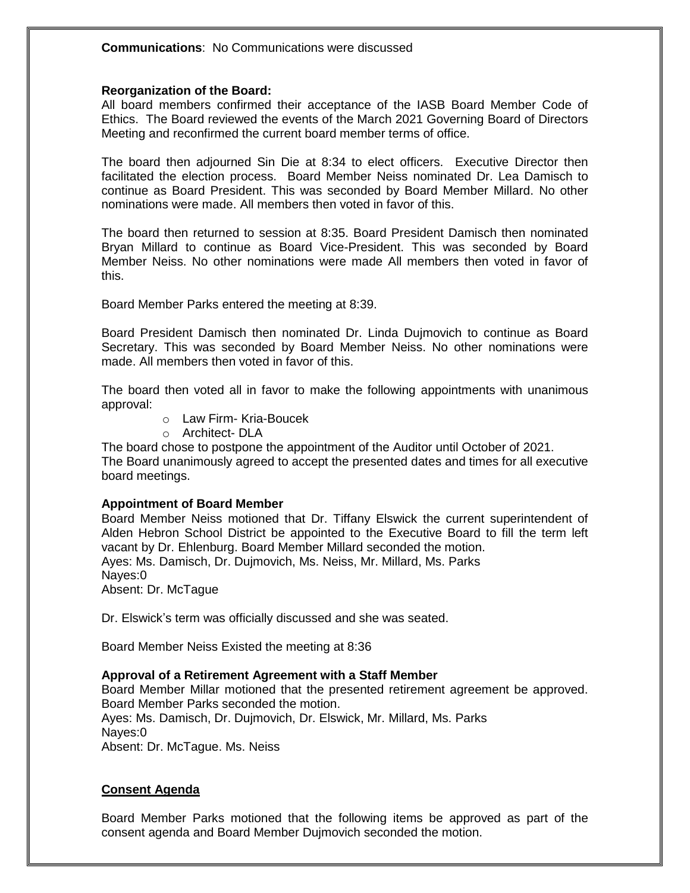#### **Reorganization of the Board:**

All board members confirmed their acceptance of the IASB Board Member Code of Ethics. The Board reviewed the events of the March 2021 Governing Board of Directors Meeting and reconfirmed the current board member terms of office.

The board then adjourned Sin Die at 8:34 to elect officers. Executive Director then facilitated the election process. Board Member Neiss nominated Dr. Lea Damisch to continue as Board President. This was seconded by Board Member Millard. No other nominations were made. All members then voted in favor of this.

The board then returned to session at 8:35. Board President Damisch then nominated Bryan Millard to continue as Board Vice-President. This was seconded by Board Member Neiss. No other nominations were made All members then voted in favor of this.

Board Member Parks entered the meeting at 8:39.

Board President Damisch then nominated Dr. Linda Dujmovich to continue as Board Secretary. This was seconded by Board Member Neiss. No other nominations were made. All members then voted in favor of this.

The board then voted all in favor to make the following appointments with unanimous approval:

- o Law Firm- Kria-Boucek
- o Architect- DLA

The board chose to postpone the appointment of the Auditor until October of 2021. The Board unanimously agreed to accept the presented dates and times for all executive board meetings.

#### **Appointment of Board Member**

Board Member Neiss motioned that Dr. Tiffany Elswick the current superintendent of Alden Hebron School District be appointed to the Executive Board to fill the term left vacant by Dr. Ehlenburg. Board Member Millard seconded the motion. Ayes: Ms. Damisch, Dr. Dujmovich, Ms. Neiss, Mr. Millard, Ms. Parks Nayes:0 Absent: Dr. McTague

Dr. Elswick's term was officially discussed and she was seated.

Board Member Neiss Existed the meeting at 8:36

#### **Approval of a Retirement Agreement with a Staff Member**

Board Member Millar motioned that the presented retirement agreement be approved. Board Member Parks seconded the motion. Ayes: Ms. Damisch, Dr. Dujmovich, Dr. Elswick, Mr. Millard, Ms. Parks Nayes:0 Absent: Dr. McTague. Ms. Neiss

#### **Consent Agenda**

Board Member Parks motioned that the following items be approved as part of the consent agenda and Board Member Dujmovich seconded the motion.